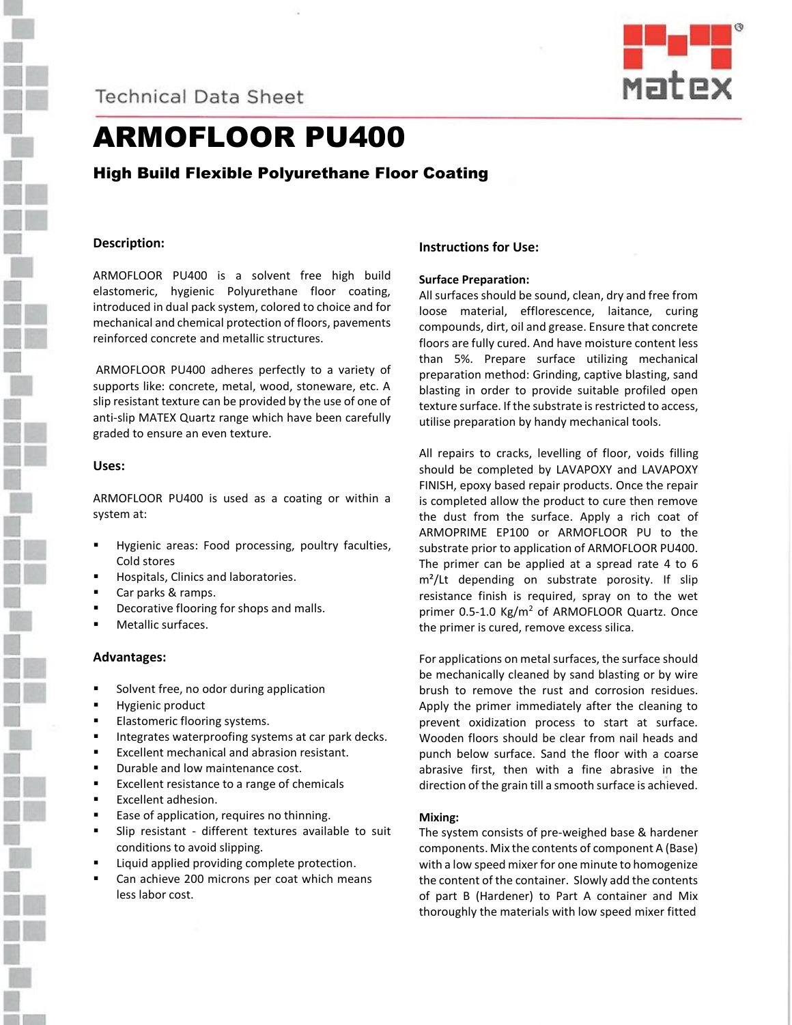

### **Technical Data Sheet**



## ARMOFLOOR PU400

High Build Flexible Polyurethane Floor Coating

#### **Description:**

ARMOFLOOR PU400 is a solvent free high build elastomeric, hygienic Polyurethane floor coating, introduced in dual pack system, colored to choice and for mechanical and chemical protection of floors, pavements reinforced concrete and metallic structures.

ARMOFLOOR PU400 adheres perfectly to a variety of supports like: concrete, metal, wood, stoneware, etc. A slip resistant texture can be provided by the use of one of anti-slip MATEX Quartz range which have been carefully graded to ensure an even texture.

#### **Uses:**

ARMOFLOOR PU400 is used as a coating or within a system at:

- Hygienic areas: Food processing, poultry faculties, Cold stores
- Hospitals, Clinics and laboratories.
- Car parks & ramps.
- Decorative flooring for shops and malls.
- Metallic surfaces.

#### **Advantages:**

- Solvent free, no odor during application
- Hygienic product
- **Elastomeric flooring systems.**
- **Integrates waterproofing systems at car park decks.**
- Excellent mechanical and abrasion resistant.
- Durable and low maintenance cost.
- Excellent resistance to a range of chemicals
- Excellent adhesion.
- **Ease of application, requires no thinning.**
- Slip resistant different textures available to suit conditions to avoid slipping.
- Liquid applied providing complete protection.
- Can achieve 200 microns per coat which means less labor cost.

#### **Instructions for Use:**

#### **Surface Preparation:**

All surfaces should be sound, clean, dry and free from loose material, efflorescence, laitance, curing compounds, dirt, oil and grease. Ensure that concrete floors are fully cured. And have moisture content less than 5%. Prepare surface utilizing mechanical preparation method: Grinding, captive blasting, sand blasting in order to provide suitable profiled open texture surface. If the substrate is restricted to access, utilise preparation by handy mechanical tools.

All repairs to cracks, levelling of floor, voids filling should be completed by LAVAPOXY and LAVAPOXY FINISH, epoxy based repair products. Once the repair is completed allow the product to cure then remove the dust from the surface. Apply a rich coat of ARMOPRIME EP100 or ARMOFLOOR PU to the substrate prior to application of ARMOFLOOR PU400. The primer can be applied at a spread rate 4 to 6 m<sup>2</sup>/Lt depending on substrate porosity. If slip resistance finish is required, spray on to the wet primer  $0.5$ -1.0 Kg/m<sup>2</sup> of ARMOFLOOR Quartz. Once the primer is cured, remove excess silica.

For applications on metal surfaces, the surface should be mechanically cleaned by sand blasting or by wire brush to remove the rust and corrosion residues. Apply the primer immediately after the cleaning to prevent oxidization process to start at surface. Wooden floors should be clear from nail heads and punch below surface. Sand the floor with a coarse abrasive first, then with a fine abrasive in the direction of the grain till a smooth surface is achieved.

#### **Mixing:**

The system consists of pre-weighed base & hardener components. Mix the contents of component A (Base) with a low speed mixer for one minute to homogenize the content of the container. Slowly add the contents of part B (Hardener) to Part A container and Mix thoroughly the materials with low speed mixer fitted